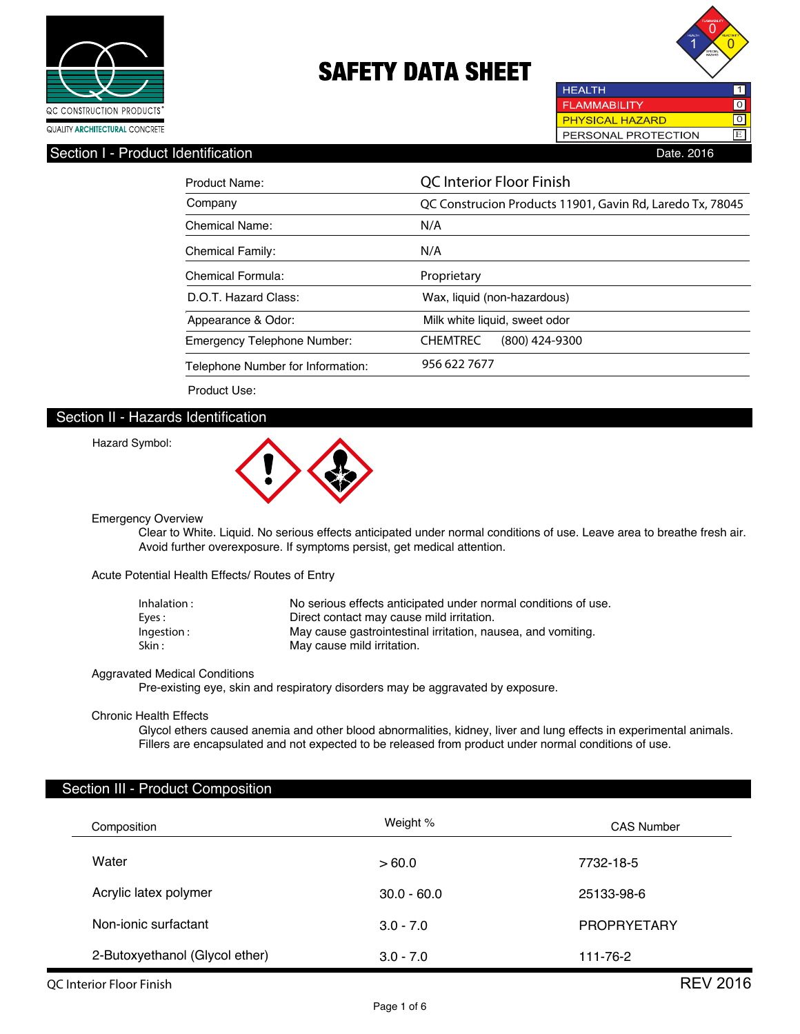



**HEALTH FLAMMABILITY** 0 PHYSICAL HAZARD PERSONAL PROTECTION E

## Section I - Product Identification **Date. 2016** Date. 2016

| Product Name:                      | <b>QC</b> Interior Floor Finish                           |  |  |
|------------------------------------|-----------------------------------------------------------|--|--|
| Company                            | QC Construcion Products 11901, Gavin Rd, Laredo Tx, 78045 |  |  |
| Chemical Name:                     | N/A                                                       |  |  |
| Chemical Family:                   | N/A                                                       |  |  |
| Chemical Formula:                  | Proprietary                                               |  |  |
| D.O.T. Hazard Class:               | Wax, liquid (non-hazardous)                               |  |  |
| Appearance & Odor:                 | Milk white liquid, sweet odor                             |  |  |
| <b>Emergency Telephone Number:</b> | <b>CHEMTREC</b><br>$(800)$ 424-9300                       |  |  |
| Telephone Number for Information:  | 956 622 7677                                              |  |  |

Product Use:

### Section II - Hazards Identification

#### Hazard Symbol:



Emergency Overview

 Clear to White. Liquid. No serious effects anticipated under normal conditions of use. Leave area to breathe fresh air. Avoid further overexposure. If symptoms persist, get medical attention.

Acute Potential Health Effects/ Routes of Entry

| Inhalation : | No serious effects anticipated under normal conditions of use. |  |
|--------------|----------------------------------------------------------------|--|
| Eves :       | Direct contact may cause mild irritation.                      |  |
| Ingestion:   | May cause gastrointestinal irritation, nausea, and vomiting.   |  |
| Skin :       | May cause mild irritation.                                     |  |

#### Aggravated Medical Conditions

Pre-existing eye, skin and respiratory disorders may be aggravated by exposure.

#### Chronic Health Effects

 Glycol ethers caused anemia and other blood abnormalities, kidney, liver and lung effects in experimental animals. Fillers are encapsulated and not expected to be released from product under normal conditions of use.

### Section III - Product Composition

| Composition                    | Weight %      | <b>CAS Number</b>  |
|--------------------------------|---------------|--------------------|
| Water                          | >60.0         | 7732-18-5          |
| Acrylic latex polymer          | $30.0 - 60.0$ | 25133-98-6         |
| Non-ionic surfactant           | $3.0 - 7.0$   | <b>PROPRYETARY</b> |
| 2-Butoxyethanol (Glycol ether) | $3.0 - 7.0$   | 111-76-2           |

Page 1 of 6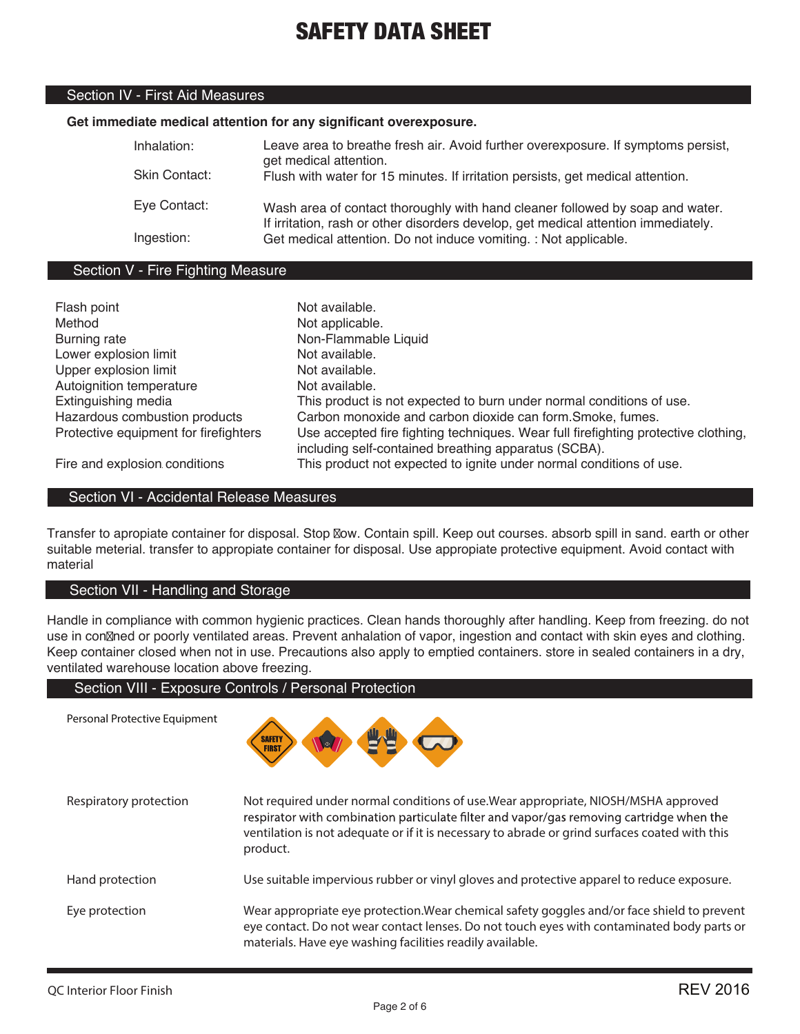## Section IV - First Aid Measures

## **Get immediate medical attention for any significant overexposure.**

| Inhalation:<br>Skin Contact: | Leave area to breathe fresh air. Avoid further overexposure. If symptoms persist,<br>get medical attention.<br>Flush with water for 15 minutes. If irritation persists, get medical attention. |
|------------------------------|------------------------------------------------------------------------------------------------------------------------------------------------------------------------------------------------|
| Eye Contact:                 | Wash area of contact thoroughly with hand cleaner followed by soap and water.                                                                                                                  |
| Ingestion:                   | If irritation, rash or other disorders develop, get medical attention immediately.<br>Get medical attention. Do not induce vomiting. : Not applicable.                                         |

## Section V - Fire Fighting Measure

| Flash point                           | Not available.                                                                     |
|---------------------------------------|------------------------------------------------------------------------------------|
| Method                                | Not applicable.                                                                    |
| Burning rate                          | Non-Flammable Liquid                                                               |
| Lower explosion limit                 | Not available.                                                                     |
| Upper explosion limit                 | Not available.                                                                     |
| Autoignition temperature              | Not available.                                                                     |
| Extinguishing media                   | This product is not expected to burn under normal conditions of use.               |
| Hazardous combustion products         | Carbon monoxide and carbon dioxide can form. Smoke, fumes.                         |
| Protective equipment for firefighters | Use accepted fire fighting techniques. Wear full firefighting protective clothing, |
|                                       | including self-contained breathing apparatus (SCBA).                               |
| Fire and explosion conditions         | This product not expected to ignite under normal conditions of use.                |

Fire and explosion conditions

Personal Protective Equipment

## Section VI - Accidental Release Measures

Transfer to apropiate container for disposal. Stop Now. Contain spill. Keep out courses. absorb spill in sand. earth or other suitable meterial. transfer to appropiate container for disposal. Use appropiate protective equipment. Avoid contact with material

### Section VII - Handling and Storage

Handle in compliance with common hygienic practices. Clean hands thoroughly after handling. Keep from freezing. do not use in con $\mathbb Z$ ned or poorly ventilated areas. Prevent anhalation of vapor, ingestion and contact with skin eyes and clothing. Keep container closed when not in use. Precautions also apply to emptied containers. store in sealed containers in a dry, ventilated warehouse location above freezing.

## Section VIII - Exposure Controls / Personal Protection



| Respiratory protection | Not required under normal conditions of use. Wear appropriate, NIOSH/MSHA approved<br>respirator with combination particulate filter and vapor/gas removing cartridge when the<br>ventilation is not adequate or if it is necessary to abrade or grind surfaces coated with this<br>product. |
|------------------------|----------------------------------------------------------------------------------------------------------------------------------------------------------------------------------------------------------------------------------------------------------------------------------------------|
| Hand protection        | Use suitable impervious rubber or vinyl gloves and protective apparel to reduce exposure.                                                                                                                                                                                                    |
| Eye protection         | Wear appropriate eye protection. Wear chemical safety goggles and/or face shield to prevent<br>eye contact. Do not wear contact lenses. Do not touch eyes with contaminated body parts or<br>materials. Have eye washing facilities readily available.                                       |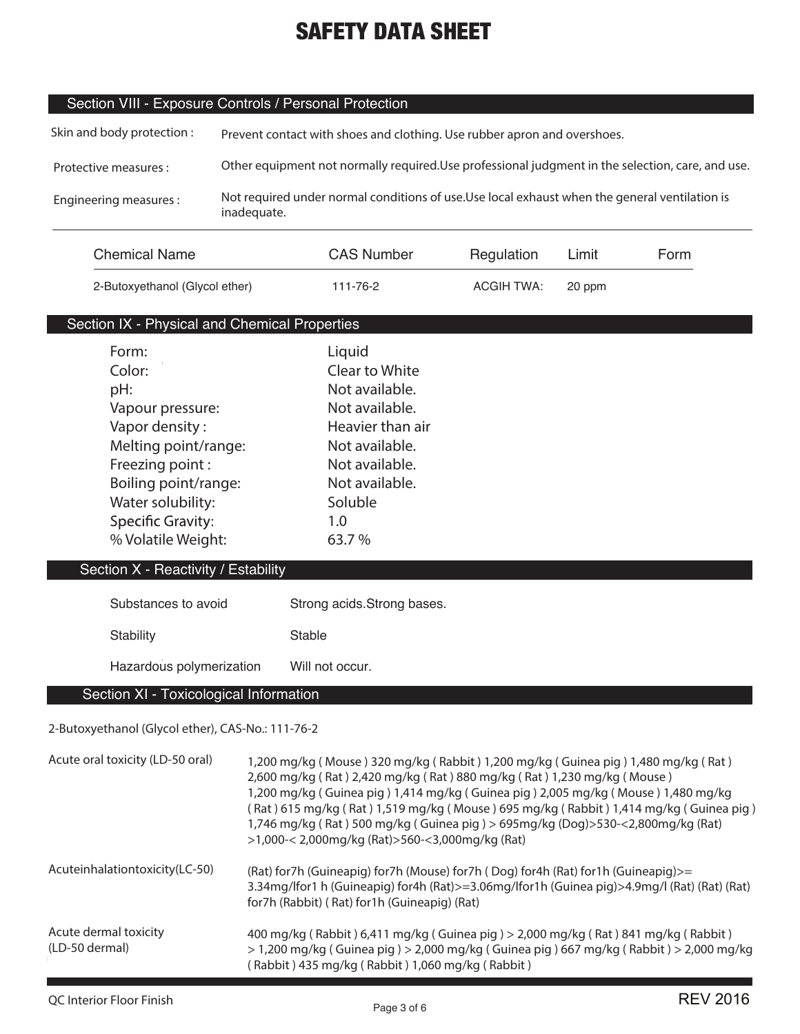## Section VIII - Exposure Controls / Personal Protection

| Skin and body protection: | Prevent contact with shoes and clothing. Use rubber apron and overshoes.                                      |
|---------------------------|---------------------------------------------------------------------------------------------------------------|
| Protective measures :     | Other equipment not normally required. Use professional judgment in the selection, care, and use.             |
| Engineering measures:     | Not required under normal conditions of use. Use local exhaust when the general ventilation is<br>inadequate. |

| <b>Chemical Name</b>           | <b>CAS Number</b> | Regulation | Limit  | Form |
|--------------------------------|-------------------|------------|--------|------|
| 2-Butoxyethanol (Glycol ether) | 111-76-2          | ACGIH TWA: | 20 ppm |      |

## Section IX - Physical and Chemical Properties

| Form:                               | Liquid           |
|-------------------------------------|------------------|
| Color:                              | Clear to White   |
| pH:                                 | Not available.   |
| Vapour pressure:                    | Not available.   |
| Vapor density:                      | Heavier than air |
| Melting point/range:                | Not available.   |
| Freezing point:                     | Not available.   |
| Boiling point/range:                | Not available.   |
| Water solubility:                   | Soluble          |
| <b>Specific Gravity:</b>            | 1.0              |
| % Volatile Weight:                  | 63.7%            |
| :action X - Resctivity / Fetsbility |                  |

## Section X - Reactivity / Estability

| Substances to avoid      | Strong acids. Strong bases. |
|--------------------------|-----------------------------|
| Stability                | Stable                      |
| Hazardous polymerization | Will not occur.             |

## Section XI - Toxicological Information

## **2-Butoxyethanol (Glycol ether), CAS-No.: 111-76-2**

| Acute oral toxicity (LD-50 oral)        | 1,200 mg/kg (Mouse) 320 mg/kg (Rabbit) 1,200 mg/kg (Guinea pig) 1,480 mg/kg (Rat)<br>2,600 mg/kg (Rat) 2,420 mg/kg (Rat) 880 mg/kg (Rat) 1,230 mg/kg (Mouse)<br>1,200 mg/kg (Guinea pig) 1,414 mg/kg (Guinea pig) 2,005 mg/kg (Mouse) 1,480 mg/kg<br>(Rat) 615 mg/kg (Rat) 1,519 mg/kg (Mouse) 695 mg/kg (Rabbit) 1,414 mg/kg (Guinea pig)<br>1,746 mg/kg (Rat) 500 mg/kg (Guinea pig) > 695mg/kg (Dog) > 530-<2,800mg/kg (Rat)<br>$>1,000 < 2,000$ mg/kg (Rat) $>560 < 3,000$ mg/kg (Rat) |
|-----------------------------------------|--------------------------------------------------------------------------------------------------------------------------------------------------------------------------------------------------------------------------------------------------------------------------------------------------------------------------------------------------------------------------------------------------------------------------------------------------------------------------------------------|
| Acuteinhalationtoxicity(LC-50)          | (Rat) for7h (Guineapig) for7h (Mouse) for7h (Dog) for4h (Rat) for1h (Guineapig)>=<br>3.34mg/lfor1 h (Guineapig) for4h (Rat)>=3.06mg/lfor1h (Guinea pig)>4.9mg/l (Rat) (Rat) (Rat)<br>for7h (Rabbit) (Rat) for1h (Guineapig) (Rat)                                                                                                                                                                                                                                                          |
| Acute dermal toxicity<br>(LD-50 dermal) | 400 mg/kg (Rabbit) 6,411 mg/kg (Guinea pig) > 2,000 mg/kg (Rat) 841 mg/kg (Rabbit)<br>$>$ 1,200 mg/kg (Guinea pig) $>$ 2,000 mg/kg (Guinea pig) 667 mg/kg (Rabbit) $>$ 2,000 mg/kg<br>(Rabbit) 435 mg/kg (Rabbit) 1,060 mg/kg (Rabbit)                                                                                                                                                                                                                                                     |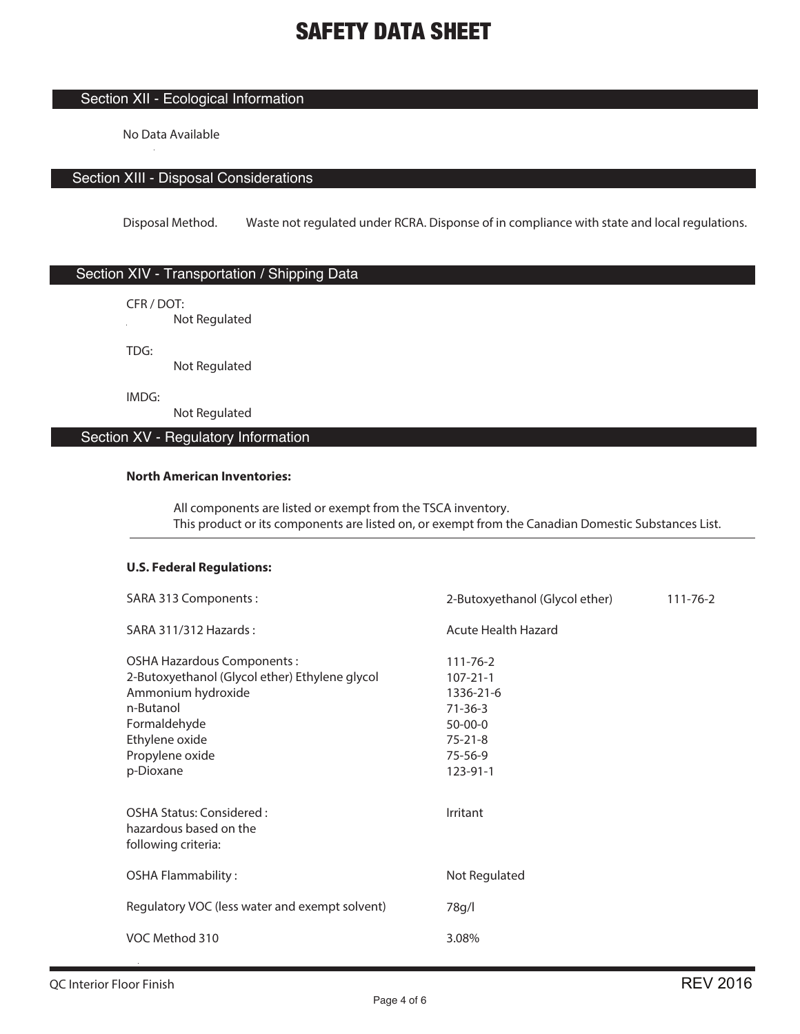## Section XII - Ecological Information

No Data Available

## Section XIII - Disposal Considerations

Disposal Method. Waste not regulated under RCRA. Disponse of in compliance with state and local regulations.

## Section XIV - Transportation / Shipping Data

CFR / DOT:

**Not Regulated** 

TDG:

Not Regulated

IMDG:

Not Regulated

### Section XV - Regulatory Information

#### **North American Inventories:**

 All components are listed or exempt from the TSCA inventory. This product or its components are listed on, or exempt from the Canadian Domestic Substances List.

## **U.S. Federal Regulations:**

| SARA 313 Components:                                                                                                                                                              | 2-Butoxyethanol (Glycol ether)                                                                                          | $111 - 76 - 2$ |
|-----------------------------------------------------------------------------------------------------------------------------------------------------------------------------------|-------------------------------------------------------------------------------------------------------------------------|----------------|
| SARA 311/312 Hazards:                                                                                                                                                             | Acute Health Hazard                                                                                                     |                |
| OSHA Hazardous Components:<br>2-Butoxyethanol (Glycol ether) Ethylene glycol<br>Ammonium hydroxide<br>n-Butanol<br>Formaldehyde<br>Ethylene oxide<br>Propylene oxide<br>p-Dioxane | $111 - 76 - 2$<br>$107 - 21 - 1$<br>1336-21-6<br>$71 - 36 - 3$<br>$50 - 00 - 0$<br>$75 - 21 - 8$<br>75-56-9<br>123-91-1 |                |
| OSHA Status: Considered:<br>hazardous based on the<br>following criteria:                                                                                                         | Irritant                                                                                                                |                |
| <b>OSHA Flammability:</b>                                                                                                                                                         | Not Regulated                                                                                                           |                |
| Regulatory VOC (less water and exempt solvent)                                                                                                                                    | 78g/l                                                                                                                   |                |
| VOC Method 310                                                                                                                                                                    | 3.08%                                                                                                                   |                |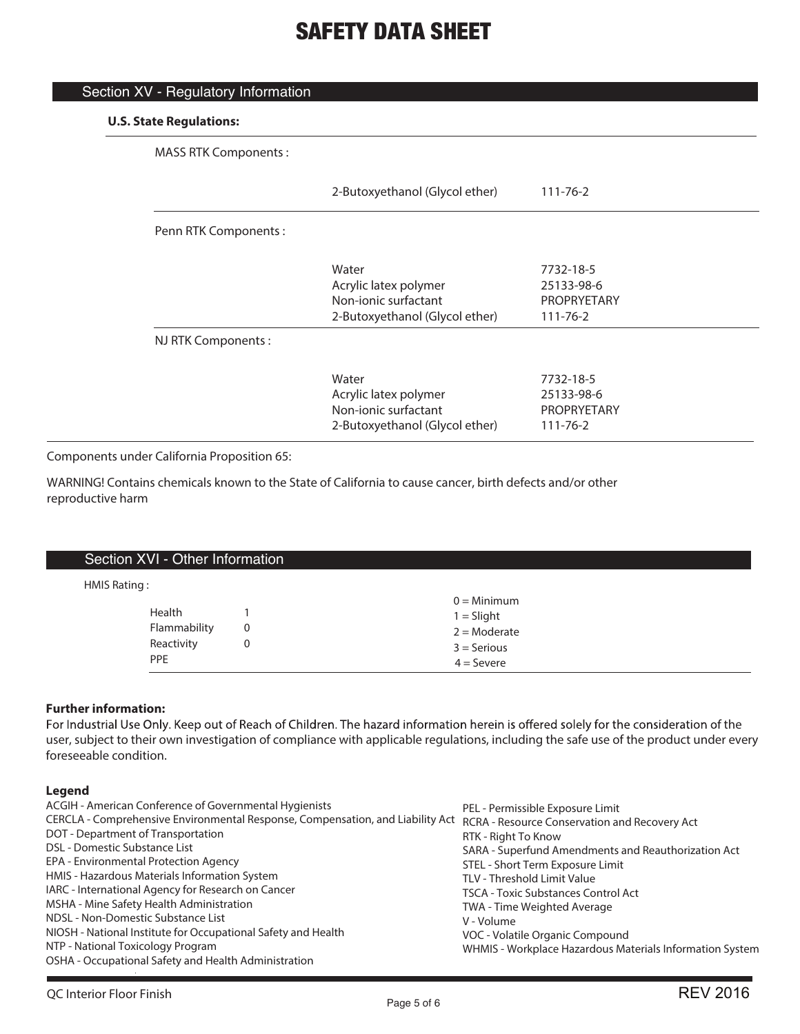| <b>MASS RTK Components:</b> |                                |                    |
|-----------------------------|--------------------------------|--------------------|
|                             | 2-Butoxyethanol (Glycol ether) | $111 - 76 - 2$     |
| Penn RTK Components:        |                                |                    |
|                             | Water                          | 7732-18-5          |
|                             | Acrylic latex polymer          | 25133-98-6         |
|                             | Non-jonic surfactant           | <b>PROPRYETARY</b> |
|                             | 2-Butoxyethanol (Glycol ether) | $111 - 76 - 2$     |
| NJ RTK Components:          |                                |                    |
|                             | Water                          | 7732-18-5          |
|                             | Acrylic latex polymer          | 25133-98-6         |
|                             | Non-jonic surfactant           | <b>PROPRYETARY</b> |
|                             | 2-Butoxyethanol (Glycol ether) | $111 - 76 - 2$     |

Components under California Proposition 65:

Section XV - Regulatory Information

WARNING! Contains chemicals known to the State of California to cause cancer, birth defects and/or other reproductive harm

| Section XVI - Other Information                    |        |                                                                                  |
|----------------------------------------------------|--------|----------------------------------------------------------------------------------|
| HMIS Rating:                                       |        |                                                                                  |
| Health<br>Flammability<br>Reactivity<br><b>PPE</b> | 0<br>0 | $0 =$ Minimum<br>$1 =$ Slight<br>$2 =$ Moderate<br>$3 =$ Serious<br>$4 =$ Severe |

### **Further information:**

For Industrial Use Only. Keep out of Reach of Children. The hazard information herein is offered solely for the consideration of the user, subject to their own investigation of compliance with applicable regulations, including the safe use of the product under every foreseeable condition.

## **Legend**

| ACGIH - American Conference of Governmental Hygienists                                                                       | PEL - Permissible Exposure Limit                         |
|------------------------------------------------------------------------------------------------------------------------------|----------------------------------------------------------|
| CERCLA - Comprehensive Environmental Response, Compensation, and Liability Act RCRA - Resource Conservation and Recovery Act |                                                          |
| DOT - Department of Transportation                                                                                           | RTK - Right To Know                                      |
| DSL - Domestic Substance List                                                                                                | SARA - Superfund Amendments and Reauthorization Act      |
| EPA - Environmental Protection Agency                                                                                        | STEL - Short Term Exposure Limit                         |
| HMIS - Hazardous Materials Information System                                                                                | TLV - Threshold Limit Value                              |
| IARC - International Agency for Research on Cancer                                                                           | <b>TSCA - Toxic Substances Control Act</b>               |
| MSHA - Mine Safety Health Administration                                                                                     | TWA - Time Weighted Average                              |
| NDSL - Non-Domestic Substance List                                                                                           | V - Volume                                               |
| NIOSH - National Institute for Occupational Safety and Health                                                                | VOC - Volatile Organic Compound                          |
| NTP - National Toxicology Program                                                                                            | WHMIS - Workplace Hazardous Materials Information System |
| OSHA - Occupational Safety and Health Administration                                                                         |                                                          |